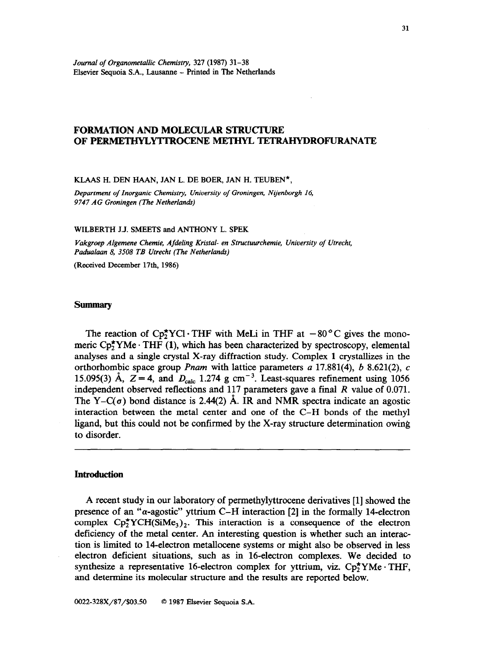*Journal of Organometallic Chemistry, 321* **(1987)** *31-38*  **Elsevier Sequoia S.A., Lausanne - Printed in The Netherlands** 

# **FORMATION AND MOLECULAR STRUCTURE OF PERMETHYLYlTROCENE METHYL TETRAHYDROFURANATE**

# **KLAAS H. DEN HAAN, JAN L. DE BOER, JAN H. TEUBEN\*,**

*Department of Inorganic Chemistry, University of Groningen, Nijenborgh 16, 9747 AG Groningen (The NetherlanA)* 

#### **WILBERTH J.J. SMEETS and ANTHONY L. SPEK**

*Vakgroep Algemene Chemie, Aja'eling Kristal- en Structuurchemie, University of Utrecht,*  Padualaan 8, 3508 TB Utrecht (The Netherlands)

**(Received December 17th, 1986)** 

### **Summary**

The reaction of  $\text{Cp}_2^{\star} \text{YCl} \cdot \text{THF}$  with MeLi in THF at  $-80^{\circ} \text{C}$  gives the monomeric Cp<sub>2</sub>YMe · THF (1), which has been characterized by spectroscopy, elemental analyses and a single crystal X-ray diffraction study. Complex **1** crystallizes in the orthorhombic space group *Pnam* with lattice parameters a 17.881(4), b 8.621(2), c 15.095(3) Å,  $Z = 4$ , and  $D_{\text{calc}}$  1.274 g cm<sup>-3</sup>. Least-squares refinement using 1056 independent observed reflections and li7 parameters gave a final *R* value of 0.071. The Y–C( $\sigma$ ) bond distance is 2.44(2) Å. IR and NMR spectra indicate an agostic interaction between the metal center and one of the C-H bonds of the methyl ligand, but this could not be confirmed by the X-ray structure determination owing to disorder.

### **Introduction**

A recent study in our laboratory of permethylyttrocene derivatives [l] showed the presence of an " $\alpha$ -agostic" yttrium C-H interaction [2] in the formally 14-electron complex  $\text{Cp}_2^{\star}$ YCH(SiMe<sub>3</sub>)<sub>2</sub>. This interaction is a consequence of the electron deficiency of the metal center. An interesting question is whether such an interaction is limited to 14electron metallocene systems or might also be observed in less electron deficient situations, such as in Idelectron complexes. We decided to synthesize a representative 16-electron complex for yttrium, viz.  $Cp_2^*YMe \cdot THF$ , and determine its molecular structure and the results are reported below.

*0022-328X/87/\$03.50 0 1987* **Ekevier Sequoia S.A.**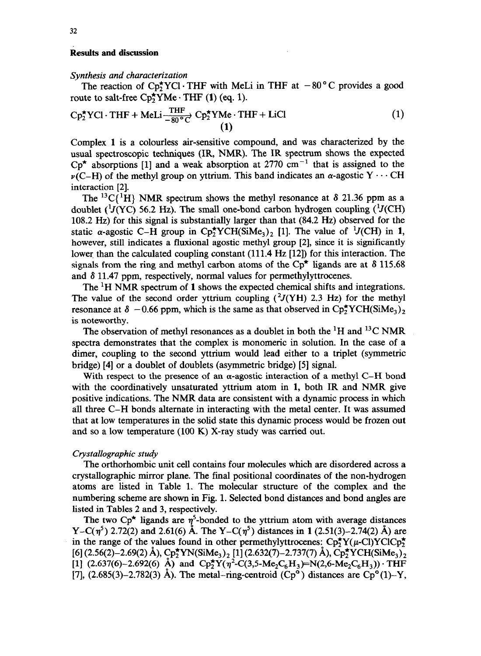## Results and discussion

#### *Synthesis and characterization*

The reaction of  $Cp_2^{\star}YCl$  · THF with MeLi in THF at  $-80^{\circ}C$  provides a good route to salt-free  $Cp_2^{\star}YMe \cdot THF$  (1) (eq. 1).

$$
Cp_{2}^{*}YCl \cdot THF + Meli\frac{THF}{-80^{\circ}C} \cdot Cp_{2}^{*}YMe \cdot THF + LiCl
$$
\n(1)

Complex 1 is a colourless air-sensitive compound, and was characterized by the usual spectroscopic techniques (IR, NMR). The IR spectrum shows the expected  $Cp^*$  absorptions [1] and a weak absorption at 2770 cm<sup>-1</sup> that is assigned to the  $\nu$ (C-H) of the methyl group on yttrium. This band indicates an  $\alpha$ -agostic Y  $\cdots$  CH interaction [2].

The <sup>13</sup>C{<sup>1</sup>H} NMR spectrum shows the methyl resonance at  $\delta$  21.36 ppm as a doublet ( $\frac{1}{J}(YC)$  56.2 Hz). The small one-bond carbon hydrogen coupling ( $\frac{1}{J}(CH)$ ) 108.2 Hz) for this signal is substantially larger than that (84.2 Hz) observed for the static  $\alpha$ -agostic C-H group in Cp<sup>\*</sup>YCH(SiMe<sub>3</sub>)<sub>2</sub> [1]. The value of <sup>1</sup>J(CH) in **1**, however, still indicates a fluxional agostic methyl group [2], since it is significantly lower than the calculated coupling constant (111.4 Hz [12]) for this interaction. The signals from the ring and methyl carbon atoms of the  $Cp^*$  ligands are at  $\delta$  115.68 and  $\delta$  11.47 ppm, respectively, normal values for permethylyttrocenes.

The 'H NMR spectrum of **1** shows the expected chemical shifts and integrations. The value of the second order yttrium coupling  $(^2J(YH)$  2.3 Hz) for the methyl resonance at  $\delta$  -0.66 ppm, which is the same as that observed in Cp<sub>2</sub>YCH(SiMe<sub>3</sub>)<sub>2</sub> is noteworthy.

The observation of methyl resonances as a doublet in both the <sup>1</sup>H and <sup>13</sup>C NMR spectra demonstrates that the complex is monomeric in solution. In the case of a dimer, coupling to the second yttrium would lead either to a triplet (symmetric bridge) [4] or a doublet of doublets (asymmetric bridge) [5] signal.

With respect to the presence of an  $\alpha$ -agostic interaction of a methyl C-H bond with the coordinatively unsaturated yttrium atom in 1, both IR and NMR give positive indications. The NMR data are consistent with a dynamic process in which all three C-H bonds alternate in interacting with the metal center. It was assumed that at low temperatures in the solid state this dynamic process would be frozen out and so a low temperature (100 K) X-ray study was carried out.

### *Crystallographic study*

*The* orthorhombic unit cell contains four molecules which are disordered across a crystallographic mirror plane. The final positional coordinates of the non-hydrogen atoms are listed in Table 1. The molecular structure of the complex and the numbering scheme are shown in Fig. 1. Selected bond distances and bond angles are listed in Tables 2 and 3, respectively.

The two Cp<sup>\*</sup> ligands are  $\eta^5$ -bonded to the yttrium atom with average distances Y-C( $\eta^5$ ) 2.72(2) and 2.61(6) Å. The Y-C( $\eta^5$ ) distances in 1 (2.51(3)-2.74(2) Å) are in the range of the values found in other permethylyttrocenes:  $\text{Cp}_2^{\star}\text{Y}(\mu\text{-Cl})\text{YClCp}_2^{\star}$  $[6]$  (2.56(2)-2.69(2) Å), Cp<sup>\*</sup>YN(SiMe<sub>3</sub>)<sub>2</sub> [1] (2.632(7)-2.737(7) Å), Cp<sup>\*</sup>YCH(SiMe<sub>3</sub>)<sub>2</sub> [1]  $(2.637(6)-2.692(6)$  Å) and  $Cp_2^*Y(\eta^2-C(3,5-Me_2C_6H_3))=N(2,6-Me_2C_6H_3))$ . THF [7], (2.685(3)-2.782(3) Å). The metal-ring-centroid  $\overline{(Cp^o)}$  distances are  $\overline{Cp^o}(1)$ -Y,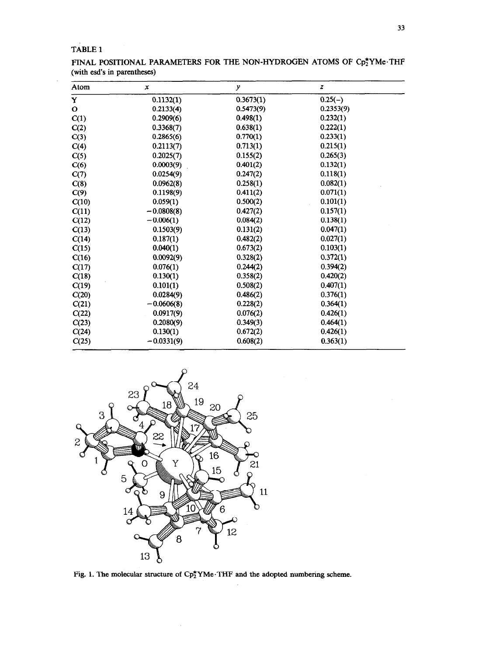# TABLE 1

FINAL POSITIONAL PARAMETERS FOR THE NON-HYDROGEN ATOMS OF Cp2YMe·THF (with esd's in parentheses)

| Atom         | x            | y         | $\boldsymbol{Z}$ |  |
|--------------|--------------|-----------|------------------|--|
| Y            | 0.1132(1)    | 0.3673(1) | $0.25(-)$        |  |
| $\mathbf{o}$ | 0.2133(4)    | 0.5473(9) | 0.2353(9)        |  |
| C(1)         | 0.2909(6)    | 0.498(1)  | 0.232(1)         |  |
| C(2)         | 0.3368(7)    | 0.638(1)  | 0.222(1)         |  |
| C(3)         | 0.2865(6)    | 0.770(1)  | 0.233(1)         |  |
| C(4)         | 0.2113(7)    | 0.713(1)  | 0.215(1)         |  |
| C(5)         | 0.2025(7)    | 0.155(2)  | 0.265(3)         |  |
| C(6)         | 0.0003(9)    | 0.401(2)  | 0.132(1)         |  |
| C(7)         | 0.0254(9)    | 0.247(2)  | 0.118(1)         |  |
| C(8)         | 0.0962(8)    | 0.258(1)  | 0.082(1)         |  |
| C(9)         | 0.1198(9)    | 0.411(2)  | 0.071(1)         |  |
| C(10)        | 0.059(1)     | 0.500(2)  | 0.101(1)         |  |
| C(11)        | $-0.0808(8)$ | 0.427(2)  | 0.157(1)         |  |
| C(12)        | $-0.006(1)$  | 0.084(2)  | 0.138(1)         |  |
| C(13)        | 0.1503(9)    | 0.131(2)  | 0.047(1)         |  |
| C(14)        | 0.187(1)     | 0.482(2)  | 0.027(1)         |  |
| C(15)        | 0.040(1)     | 0.673(2)  | 0.103(1)         |  |
| C(16)        | 0.0092(9)    | 0.328(2)  | 0.372(1)         |  |
| C(17)        | 0.076(1)     | 0.244(2)  | 0.394(2)         |  |
| C(18)        | 0.130(1)     | 0.358(2)  | 0.420(2)         |  |
| C(19)        | 0.101(1)     | 0.508(2)  | 0.407(1)         |  |
| C(20)        | 0.0284(9)    | 0.486(2)  | 0.376(1)         |  |
| C(21)        | $-0.0606(8)$ | 0.228(2)  | 0.364(1)         |  |
| C(22)        | 0.0917(9)    | 0.076(2)  | 0.426(1)         |  |
| C(23)        | 0.2080(9)    | 0.349(3)  | 0.464(1)         |  |
| C(24)        | 0.130(1)     | 0.672(2)  | 0.426(1)         |  |
| C(25)        | $-0.0331(9)$ | 0.608(2)  | 0.363(1)         |  |



Fig. 1. The molecular structure of Cp<sup>\*</sup>YMe.THF and the adopted numbering scheme.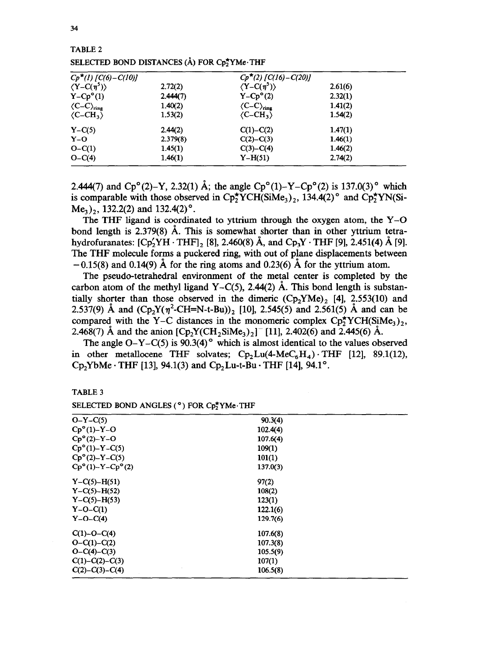| $Cp^*(1)$ [C(6) – C(10)]         |          | $Cp^*(2)$ [C(16) – C(20)]           |         |
|----------------------------------|----------|-------------------------------------|---------|
| $\langle Y - C(\eta^5) \rangle$  | 2.72(2)  | $\langle Y - C(\eta^5) \rangle$     | 2.61(6) |
| $Y - Cpo(1)$                     | 2.444(7) | $Y - Cpo(2)$                        | 2.32(1) |
| $\langle C-C \rangle_{\rm ring}$ | 1.40(2)  | $\langle C-C \rangle_{\text{ring}}$ | 1.41(2) |
| $\langle C - CH_3 \rangle$       | 1.53(2)  | $\langle C-CH_3 \rangle$            | 1.54(2) |
| $Y - C(5)$                       | 2.44(2)  | $C(1) - C(2)$                       | 1.47(1) |
| $Y-O$                            | 2.379(8) | $C(2)-C(3)$                         | 1.46(1) |
| $O-C(1)$                         | 1.45(1)  | $C(3)-C(4)$                         | 1.46(2) |
| $O - C(4)$                       | 1.46(1)  | $Y-H(51)$                           | 2.74(2) |

**TABLE 2**  SELECTED BOND DISTANCES (Å) FOR C<sub>p</sub><sup>+</sup>YMe·THF

2.444(7) and Cp°(2)-Y, 2.32(1) Å; the angle Cp°(1)-Y-Cp°(2) is 137.0(3)° which is comparable with those observed in  $Cp_2^{\star}YCH(SiMe_3)_2$ , 134.4(2)° and  $Cp_2^{\star}YN(Si Me<sub>3</sub>$ )<sub>2</sub>, 132.2(2) and 132.4(2)<sup>o</sup>.

The THF ligand is coordinated to yttrium through the oxygen atom, the Y-O bond length is 2.379(8) A. This is somewhat shorter than in other yttrium tetrahydrofuranates: **[CpiYH .** THF], [8], 2.460(8) A, and Cp,Y - THF [9], 2.451(4) A [9]. The THF molecule forms a puckered ring, with out of plane displacements between  $-0.15(8)$  and 0.14(9) Å for the ring atoms and 0.23(6) Å for the yttrium atom.

The pseudo-tetrahedral environment of the metal center is completed by the carbon atom of the methyl ligand Y-C(5), 2.44(2)  $\AA$ . This bond length is substantially shorter than those observed in the dimeric  $(Cp_2YMe)$ , [4], 2.553(10) and 2.537(9) Å and  $(Cp_2Y(\eta^2-CH=N-t-Bu))_2$  [10], 2.545(5) and 2.561(5) Å and can be compared with the Y-C distances in the monomeric complex  $\text{Cp}_2^{\star} \text{YCH}(\text{SiMe}_1)$ , 2.468(7) Å and the anion  $[Cp_2Y(CH_2SiMe_3)_2]$ <sup>-</sup> [11], 2.402(6) and 2.445(6) Å.

The angle  $O-Y-C(5)$  is 90.3(4)<sup>°</sup> which is almost identical to the values observed in other metallocene THF solvates;  $Cp_2Lu(4-MeC_6H_4) \cdot THF$  [12], 89.1(12),  $Cp_2YbMe \cdot THF$  [13], 94.1(3) and  $Cp_2Lu-t-Bu \cdot THF$  [14], 94.1°.

**TABLE 3** 

SELECTED BOND ANGLES (°) FOR C<sub>p</sub>\*YMe·THF

| $O-Y-C(5)$                      | 90.3(4)  |  |
|---------------------------------|----------|--|
| $Cp^{\circ}(1)-Y-O$             | 102.4(4) |  |
| $Cp^{\circ}(2)-Y-O$             | 107.6(4) |  |
| $Cp^{\circ}(1)-Y-C(5)$          | 109(1)   |  |
| $Cp^{\circ}(2)-Y-C(5)$          | 101(1)   |  |
| $Cp^{\circ}(1)-Y-Cp^{\circ}(2)$ | 137.0(3) |  |
| $Y - C(5) - H(51)$              | 97(2)    |  |
| $Y - C(5) - H(52)$              | 108(2)   |  |
| $Y - C(5) - H(53)$              | 123(1)   |  |
| $Y-O-C(1)$                      | 122.1(6) |  |
| $Y-O-C(4)$                      | 129.7(6) |  |
| $C(1)$ -O-C(4)                  | 107.6(8) |  |
| $O - C(1) - C(2)$               | 107.3(8) |  |
| $O - C(4) - C(3)$               | 105.5(9) |  |
| $C(1)-C(2)-C(3)$                | 107(1)   |  |
| $C(2)-C(3)-C(4)$                | 106.5(8) |  |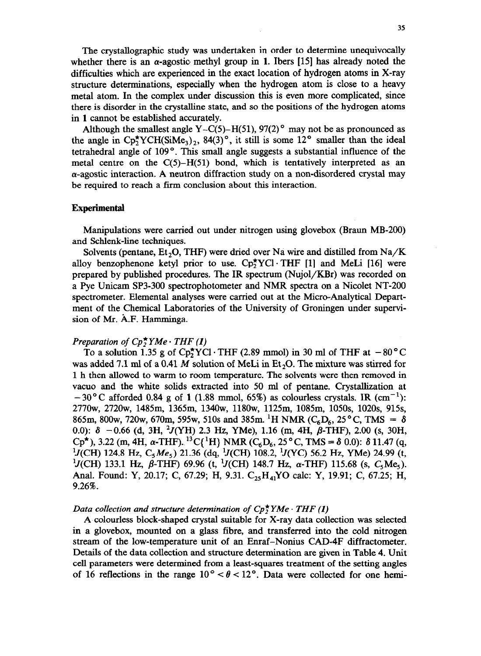The crystallographic study was undertaken in order to determine unequivocally whether there is an  $\alpha$ -agostic methyl group in 1. Ibers [15] has already noted the difficulties which are experienced in the exact location of hydrogen atoms in X-ray structure determinations, especially when the hydrogen atom is close to a heavy metal atom. In the complex under discussion this is even more complicated, since there is disorder in the crystahine state, and so the positions of the hydrogen atoms in **1** cannot be established accurately.

Although the smallest angle Y-C(5)-H(51), 97(2)<sup>o</sup> may not be as pronounced as the angle in  $\text{Cp}_2^{\star} \text{YCH}(\text{SiMe}_3)$ , 84(3)<sup>o</sup>, it still is some 12<sup>o</sup> smaller than the ideal tetrahedral angle of 109°. This small angle suggests a substantial influence of the metal centre on the  $C(5)-H(51)$  bond, which is tentatively interpreted as an  $\alpha$ -agostic interaction. A neutron diffraction study on a non-disordered crystal may be required to reach a firm conclusion about this interaction.

## **Experimental**

Manipulations were carried out under nitrogen using glovebox (Braun MB-200) and Schlenk-line techniques.

Solvents (pentane, Et<sub>2</sub>O, THF) were dried over Na wire and distilled from Na/K alloy benzophenone ketyl prior to use.  $\text{Co}_{2}^{*}\text{YCl}\cdot\text{THF}$  [1] and MeLi [16] were prepared by published procedures. The IR spectrum (Nujol/KBr) was recorded on a Pye Unicam SP3-300 spectrophotometer and NMR spectra on a Nicolet NT-200 spectrometer. Elemental analyses were carried out at the Micro-Analytical Department of the Chemical Laboratories of the University of Groningen under supervision of Mr. A.F. Hamminga.

## *Preparation of*  $Cp^*$  $YMe \cdot THF(1)$

To a solution 1.35 g of  $Cp_2^{\star}YCl$  · THF (2.89 mmol) in 30 ml of THF at  $-80^{\circ}C$ was added 7.1 ml of a 0.41 M solution of MeLi in  $Et<sub>2</sub>O$ . The mixture was stirred for 1 h then allowed to warm to room temperature. The solvents were then removed in vacua and the white solids extracted into 50 ml of pentane. Crystallization at  $-30$  °C afforded 0.84 g of 1 (1.88 mmol, 65%) as colourless crystals. IR  $(cm^{-1})$ : 277Ow, 272Ow, 1485m, 1365m, 134Ow, 118Ow, 1125m, 1085m, lOSOs, 102Os, 915s, 865m, 800w, 720w, 670m, 595w, 510s and 385m. <sup>1</sup>H NMR (C<sub>6</sub>D<sub>6</sub>, 25°C, TMS =  $\delta$ ) 0.0):  $\delta$  -0.66 (d, 3H,  $^2J(YH)$  2.3 Hz, YMe), 1.16 (m, 4H,  $\beta$ -THF), 2.00 (s, 30H,  $Cp^*$ ), 3.22 (m, 4H,  $\alpha$ -THF).<sup>13</sup>C{<sup>1</sup>H} NMR (C<sub>6</sub>D<sub>6</sub>, 25°C, TMS =  $\delta$  0.0):  $\delta$  11.47 (q,  $^{1}J$ (CH) 124.8 Hz, C<sub>5</sub>Me<sub>5</sub>) 21.36 (dq, <sup>1</sup>J(CH) 108.2, <sup>1</sup>J(YC) 56.2 Hz, YMe) 24.99 (t,  $^{1}$ J(CH) 133.1 Hz,  $\beta$ -THF) 69.96 (t, <sup>1</sup>J(CH) 148.7 Hz,  $\alpha$ -THF) 115.68 (s, C<sub>5</sub>Me<sub>5</sub>). Anal. Found: Y, 20.17; C, 67.29; H, 9.31. C<sub>25</sub>H<sub>41</sub>YO calc: Y, 19.91; C, 67.25; H, 9.26%.

# *Data collection and structure determination of*  $Cp_2^*YMe \cdot THF(1)$

A colourless block-shaped crystal suitable for X-ray data collection was selected in a glovebox, mounted on a glass fibre, and transferred into the cold nitrogen stream of the low-temperature unit of an Enraf-Nonius CAD4F diffractometer. Details of the data collection and structure determination are given in Table 4. Unit cell parameters were determined from a least-squares treatment of the setting angles of 16 reflections in the range  $10^{\circ} < \theta < 12^{\circ}$ . Data were collected for one hemi-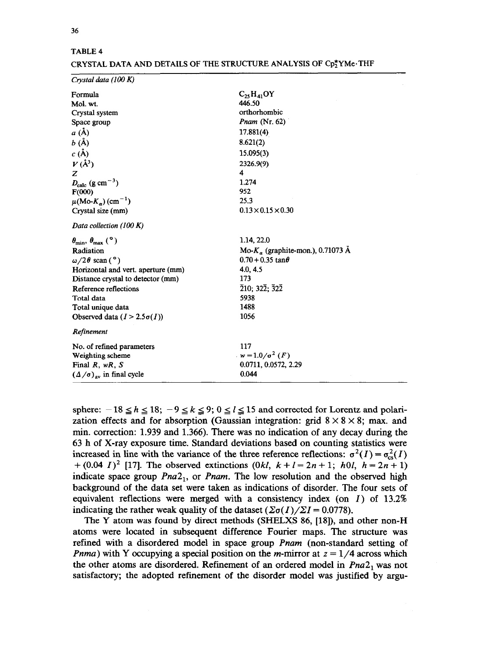| $C_2$ , $H_4$ , OY                                          |
|-------------------------------------------------------------|
| 446.50                                                      |
| orthorhombic                                                |
| <i>Pnam</i> (Nr. $62$ )                                     |
| 17.881(4)                                                   |
| 8.621(2)                                                    |
| 15.095(3)                                                   |
| 2326.9(9)                                                   |
| 4                                                           |
| 1.274                                                       |
| 952                                                         |
| 25.3                                                        |
| $0.13 \times 0.15 \times 0.30$                              |
|                                                             |
| 1.14, 22.0                                                  |
| Mo- $K_a$ (graphite-mon.), 0.71073 Å                        |
| $0.70 + 0.35$ tan $\theta$                                  |
| 4.0, 4.5                                                    |
| 173                                                         |
| $\overline{2}10; 32\overline{2}; \overline{3}2\overline{2}$ |
| 5938                                                        |
| 1488                                                        |
| 1056                                                        |
|                                                             |
| 117                                                         |
| $w = 1.0/\sigma^2$ (F)                                      |
| 0.0711, 0.0572, 2.29                                        |
| 0.044                                                       |
|                                                             |

# **CRYSTAL DATA AND DETAILS OF THE STRUCTURE ANALYSIS OF CpzYMe.THF**

sphere:  $-18 \le h \le 18$ ;  $-9 \le k \le 9$ ;  $0 \le l \le 15$  and corrected for Lorentz and polarization effects and for absorption (Gaussian integration: grid  $8 \times 8 \times 8$ ; max. and min. correction: 1.939 and 1.366). There was no indication of any decay during the 63 h of X-ray exposure time. Standard deviations based on counting statistics were increased in line with the variance of the three reference reflections:  $\sigma^2(I) = \sigma_{\text{cs}}^2(I)$ +  $(0.04 \text{ } I)^2$  [17]. The observed extinctions  $(0 \text{ } k \text{ } k \text{ } + \text{ } l = 2 \text{ } n \text{ } + 1; \text{ } h \text{ } 0 \text{ } l, \text{ } h = 2 \text{ } n \text{ } + 1)$ indicate space group *Pna2,,* or *Pnam.* The low resolution and the observed high background of the data set were taken as indications of disorder. The four sets of equivalent reflections were merged with a consistency index (on  $I$ ) of 13.2% indicating the rather weak quality of the dataset  $(\Sigma \sigma(I)/\Sigma I = 0.0778)$ .

The Y atom was found by direct methods (SHELXS 86, [18]), and other non-H atoms were located in subsequent difference Fourier maps. The structure was refined with a disordered model in space group *Pnam* (non-standard setting of *Pnma*) with Y occupying a special position on the *m*-mirror at  $z = 1/4$  across which the other atoms are disordered. Refinement of an ordered model in *Pna2, was* not satisfactory; the adopted refinement of the disorder model was justified by argu-

**TABLE 4**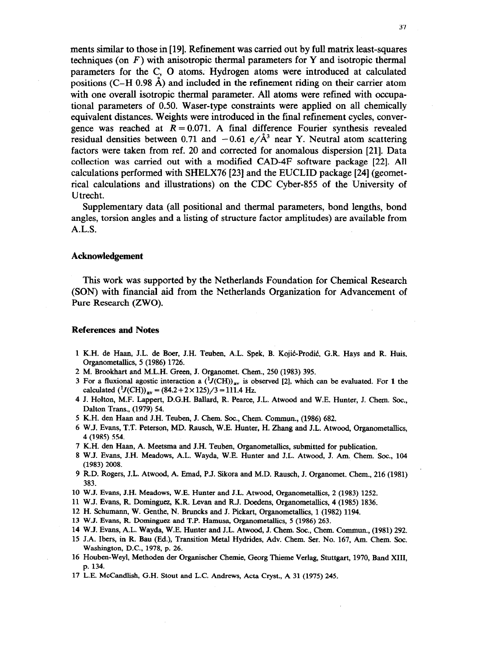ments similar to those in [19]. Refinement was carried out by full matrix least-squares techniques (on  $F$ ) with anisotropic thermal parameters for Y and isotropic thermal parameters for the C, 0 atoms. Hydrogen atoms were introduced at calculated positions (C–H 0.98  $\AA$ ) and included in the refinement riding on their carrier atom with one overall isotropic thermal parameter. All atoms were refined with occupational parameters of 0.50. Waser-type constraints were applied on all chemically equivalent distances. Weights were introduced in the final refinement cycles, convergence was reached at  $R = 0.071$ . A final difference Fourier synthesis revealed residual densities between 0.71 and  $-0.61 \frac{e}{\text{A}^3}$  near Y. Neutral atom scattering factors were taken from ref. 20 and corrected for anomalous dispersion [21]. Data collection was carried out with a modified CAD-4F software package [22]. All calculations performed with SHELX76 [23] and the EUCLID package [24] (geometrical calculations and illustrations) on the CDC Cyber-855 of the University of Utrecht.

Supplementary data (all positional and thermal parameters, bond lengths, bond angles, torsion angles and a listing of structure factor amplitudes) are available from A.L.S.

## **Acknowledgement**

This work was supported by the Netherlands Foundation for Chemical Research (SON) with financial aid from the Netherlands Organization for Advancement of Pure Research (ZWO).

#### **References and Notes**

- 1 K.H. de Haan, J.L. de Boer, J.H. Teuben, A.L. Spek, B. Kojić-Prodić, G.R. Hays and R. Huis, Organometallics, 5 (1986) 1726.
- 2 M. Brookhart and M.L.H. Green, J. Organomet. Chem., 250 (1983) 395.
- 3 For a fluxional agostic interaction a  $({}^{1}J(CH))_{av}$  is observed [2], which can be evaluated. For 1 the calculated  $(^1J(CH))_{\text{av}} = (84.2 + 2 \times 125)/3 = 111.4 \text{ Hz}.$
- 4 J. Holton, M.F. Lappert, D.G.H. Ballard, R. Pearce, J.L. Atwood and W.E. Hunter, J. Chem. Soc., Dalton Trans., (1979) 54.
- 5 K.H. den Haan and J.H. Teuben, J. Chem. Soc., Chem. Commun., (1986) 682.
- 6 W.J. Evans, T.T. Peterson, MD. Rausch, W.E. Hunter, H. Zhang and J.L. Atwood, Organometalhcs, 4 (1985) 554.
- 7 K.H. den Haan, A. Meetsma and J.H. Teuben, OrganometaBics, submitted for publication.
- 8 W.J. Evans, J.H. Meadows, A.L. Wayda, W.E. Hunter and J.L. Atwood, J. Am. Chem. Sot., 104 (1983) 2008.
- 9 R.D. Rogers, J.L. Atwood, A. Emad, P.J. Sikora and M.D. Rausch, J. Organomet. Chem., 216 (1981) 383.
- 10 W.J. Evans, J.H. Meadows, W.E. Hunter and J.L. Atwood, Organometallics, 2 (1983) 1252.
- 11 W.J. Evans, R. Dominguez, K.R. Levan and R.J. Doedens, Organometahics, 4 (1985) 1836.
- 12 H. Schumann, W. Genthe, N. Bruncks and J. Pickart, Organometallics, 1 (1982) 1194.
- 13 W.J. Evans, R. Dominguez and T.P. Hamusa, OrganometaUics, 5 (1986) 263.
- 14 W.J. Evans, A.L. Wayda, W.E. Hunter and J.L. Atwood, J. Chem. Sot., Chem. Commun., (1981) 292.
- 15 J.A. Ibers, in R. Bau (Ed.), Transition Metal Hydrides, Adv. Chem. Ser. No. 167, Am. Chem. Sot. Washington, DC., 1978, p. 26.
- 16 Houben-Weyl, Methoden der Organischer Chemie, Georg Thieme Verlag, Stuttgart, 1970, Band XIII, p. 134.
- 17 L.E. McCandlish, G.H. Stout and L.C. Andrews, Acta Cryst., A 31 (1975) 245.